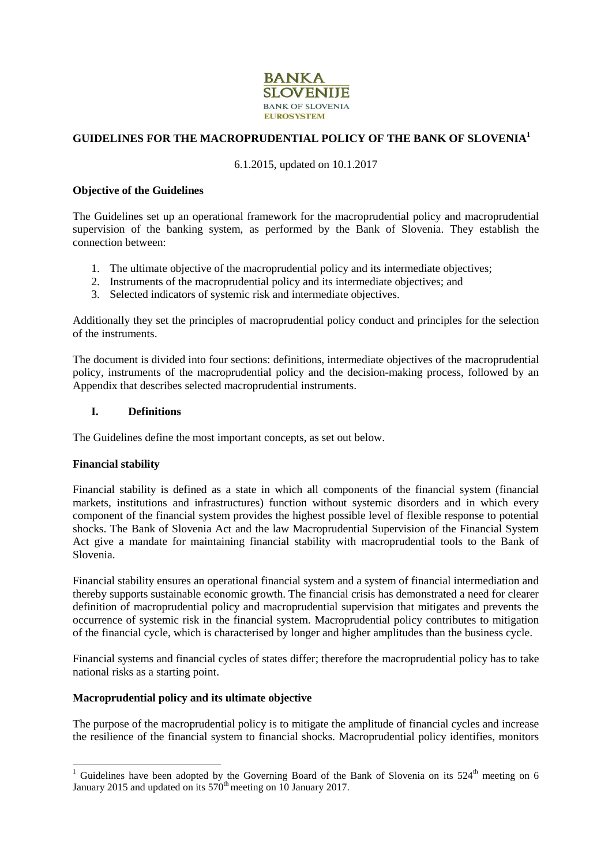

# **GUIDELINES FOR THE MACROPRUDENTIAL POLICY OF THE BANK OF SLOVENIA<sup>1</sup>**

#### 6.1.2015, updated on 10.1.2017

#### **Objective of the Guidelines**

The Guidelines set up an operational framework for the macroprudential policy and macroprudential supervision of the banking system, as performed by the Bank of Slovenia. They establish the connection between:

- 1. The ultimate objective of the macroprudential policy and its intermediate objectives;
- 2. Instruments of the macroprudential policy and its intermediate objectives; and
- 3. Selected indicators of systemic risk and intermediate objectives.

Additionally they set the principles of macroprudential policy conduct and principles for the selection of the instruments.

The document is divided into four sections: definitions, intermediate objectives of the macroprudential policy, instruments of the macroprudential policy and the decision-making process, followed by an Appendix that describes selected macroprudential instruments.

#### **I. Definitions**

The Guidelines define the most important concepts, as set out below.

### **Financial stability**

-

Financial stability is defined as a state in which all components of the financial system (financial markets, institutions and infrastructures) function without systemic disorders and in which every component of the financial system provides the highest possible level of flexible response to potential shocks. The Bank of Slovenia Act and the law Macroprudential Supervision of the Financial System Act give a mandate for maintaining financial stability with macroprudential tools to the Bank of Slovenia.

Financial stability ensures an operational financial system and a system of financial intermediation and thereby supports sustainable economic growth. The financial crisis has demonstrated a need for clearer definition of macroprudential policy and macroprudential supervision that mitigates and prevents the occurrence of systemic risk in the financial system. Macroprudential policy contributes to mitigation of the financial cycle, which is characterised by longer and higher amplitudes than the business cycle.

Financial systems and financial cycles of states differ; therefore the macroprudential policy has to take national risks as a starting point.

### **Macroprudential policy and its ultimate objective**

The purpose of the macroprudential policy is to mitigate the amplitude of financial cycles and increase the resilience of the financial system to financial shocks. Macroprudential policy identifies, monitors

<sup>&</sup>lt;sup>1</sup> Guidelines have been adopted by the Governing Board of the Bank of Slovenia on its  $524<sup>th</sup>$  meeting on 6 January 2015 and updated on its  $570<sup>th</sup>$  meeting on 10 January 2017.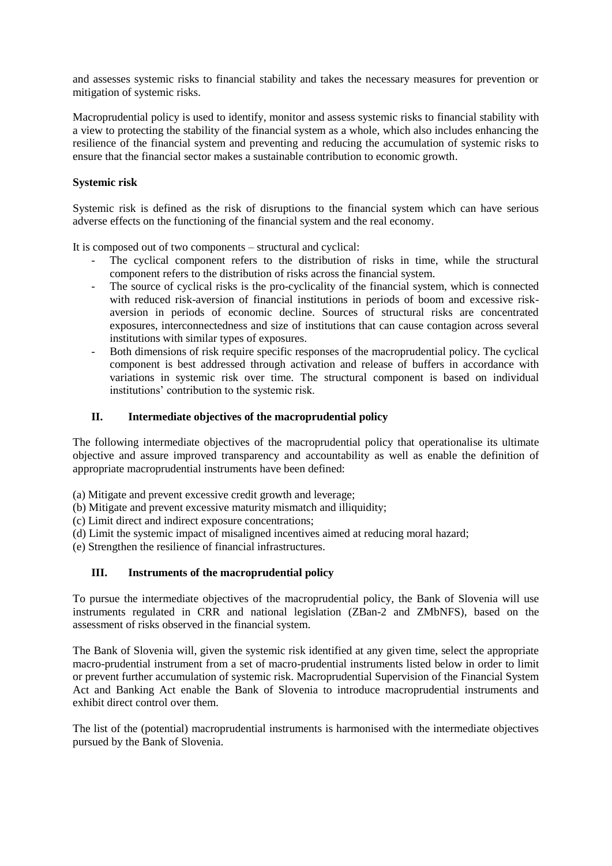and assesses systemic risks to financial stability and takes the necessary measures for prevention or mitigation of systemic risks.

Macroprudential policy is used to identify, monitor and assess systemic risks to financial stability with a view to protecting the stability of the financial system as a whole, which also includes enhancing the resilience of the financial system and preventing and reducing the accumulation of systemic risks to ensure that the financial sector makes a sustainable contribution to economic growth.

## **Systemic risk**

Systemic risk is defined as the risk of disruptions to the financial system which can have serious adverse effects on the functioning of the financial system and the real economy.

It is composed out of two components – structural and cyclical:

- The cyclical component refers to the distribution of risks in time, while the structural component refers to the distribution of risks across the financial system.
- The source of cyclical risks is the pro-cyclicality of the financial system, which is connected with reduced risk-aversion of financial institutions in periods of boom and excessive riskaversion in periods of economic decline. Sources of structural risks are concentrated exposures, interconnectedness and size of institutions that can cause contagion across several institutions with similar types of exposures.
- Both dimensions of risk require specific responses of the macroprudential policy. The cyclical component is best addressed through activation and release of buffers in accordance with variations in systemic risk over time. The structural component is based on individual institutions' contribution to the systemic risk.

## **II. Intermediate objectives of the macroprudential policy**

The following intermediate objectives of the macroprudential policy that operationalise its ultimate objective and assure improved transparency and accountability as well as enable the definition of appropriate macroprudential instruments have been defined:

- (a) Mitigate and prevent excessive credit growth and leverage;
- (b) Mitigate and prevent excessive maturity mismatch and illiquidity;
- (c) Limit direct and indirect exposure concentrations;
- (d) Limit the systemic impact of misaligned incentives aimed at reducing moral hazard;
- (e) Strengthen the resilience of financial infrastructures.

# **III. Instruments of the macroprudential policy**

To pursue the intermediate objectives of the macroprudential policy, the Bank of Slovenia will use instruments regulated in CRR and national legislation (ZBan-2 and ZMbNFS), based on the assessment of risks observed in the financial system.

The Bank of Slovenia will, given the systemic risk identified at any given time, select the appropriate macro-prudential instrument from a set of macro-prudential instruments listed below in order to limit or prevent further accumulation of systemic risk. Macroprudential Supervision of the Financial System Act and Banking Act enable the Bank of Slovenia to introduce macroprudential instruments and exhibit direct control over them.

The list of the (potential) macroprudential instruments is harmonised with the intermediate objectives pursued by the Bank of Slovenia.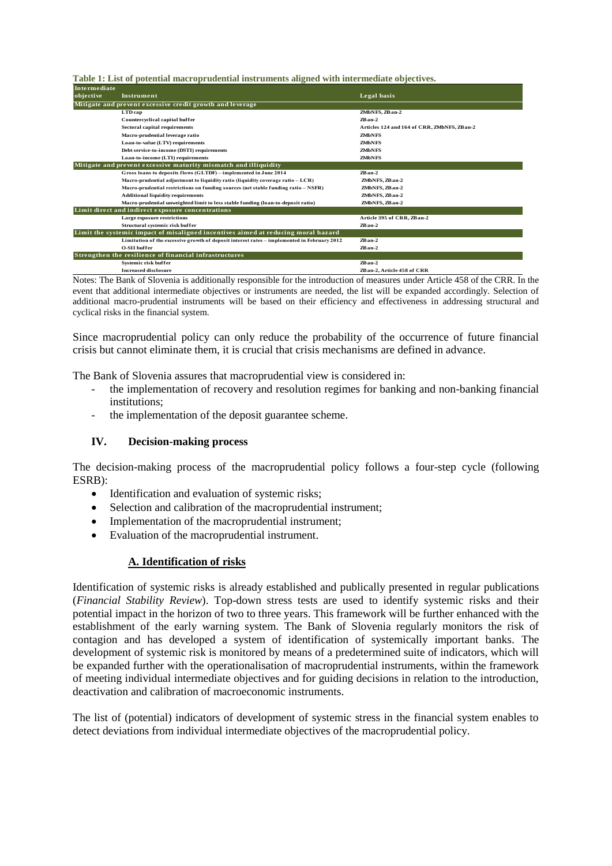**Table 1: List of potential macroprudential instruments aligned with intermediate objectives.**

| Intermediate |                                                                                             |                                              |
|--------------|---------------------------------------------------------------------------------------------|----------------------------------------------|
| objective    | Instrument                                                                                  | Legal basis                                  |
|              | Mitigate and prevent excessive credit growth and leverage                                   |                                              |
|              | <b>LTD</b> cap                                                                              | ZMbNFS, ZB an-2                              |
|              | Countercyclical capital buffer                                                              | $Z$ <b>Ban-2</b>                             |
|              | Sectoral capital requirements                                                               | Articles 124 and 164 of CRR, ZMbNFS, ZB an-2 |
|              | Macro-prudential leverage ratio                                                             | <b>ZMbNES</b>                                |
|              | Loan-to-value (LTV) requirements                                                            | <b>ZMbNES</b>                                |
|              | Debt service-to-income (DSTI) requirements                                                  | <b>ZMbNES</b>                                |
|              | Loan-to-income (LTI) requirements                                                           | <b>ZMbNES</b>                                |
|              | Mitigate and prevent excessive maturity mismatch and illiquidity                            |                                              |
|              | Gross loans to deposits flows (GLTDF) – implemented in June 2014                            | $Z$ <b>Ban-2</b>                             |
|              | Macro-prudential adjustment to liquidity ratio (liquidity coverage ratio $-LCR$ )           | ZMbNFS, ZB an-2                              |
|              | Macro-prudential restrictions on funding sources (net stable funding ratio – NSFR)          | ZMbNFS, ZB an-2                              |
|              | <b>Additional liquidity requirements</b>                                                    | ZMbNFS, ZB an-2                              |
|              | Macro-prudential unweighted limit to less stable funding (loan-to-deposit ratio)            | ZMbNFS, ZB an-2                              |
|              | Limit direct and indirect exposure concentrations                                           |                                              |
|              | Large exposure restrictions                                                                 | Article 395 of CRR. ZBan-2                   |
|              | Structural systemic risk buffer                                                             | $Z$ <b>Ban-2</b>                             |
|              | Limit the systemic impact of misaligned incentives aimed at reducing moral hazard           |                                              |
|              | Limitation of the excessive growth of deposit interest rates - implemented in February 2012 | $Z$ <b>Ban-2</b>                             |
|              | <b>O-SII</b> buffer                                                                         | $ZBan-2$                                     |
|              | Strengthen the resilience of financial infrastructures                                      |                                              |
|              | Systemic risk buffer                                                                        | $Z$ <b>Ban-2</b>                             |
|              | <b>Increased disclosure</b>                                                                 | ZBan-2. Article 458 of CRR                   |

Notes: The Bank of Slovenia is additionally responsible for the introduction of measures under Article 458 of the CRR. In the event that additional intermediate objectives or instruments are needed, the list will be expanded accordingly. Selection of additional macro-prudential instruments will be based on their efficiency and effectiveness in addressing structural and cyclical risks in the financial system.

Since macroprudential policy can only reduce the probability of the occurrence of future financial crisis but cannot eliminate them, it is crucial that crisis mechanisms are defined in advance.

The Bank of Slovenia assures that macroprudential view is considered in:

- the implementation of recovery and resolution regimes for banking and non-banking financial institutions;
- the implementation of the deposit guarantee scheme.

#### **IV. Decision-making process**

The decision-making process of the macroprudential policy follows a four-step cycle (following ESRB):

- Identification and evaluation of systemic risks:
- Selection and calibration of the macroprudential instrument;
- Implementation of the macroprudential instrument;
- Evaluation of the macroprudential instrument.

#### **A. Identification of risks**

Identification of systemic risks is already established and publically presented in regular publications (*Financial Stability Review*). Top-down stress tests are used to identify systemic risks and their potential impact in the horizon of two to three years. This framework will be further enhanced with the establishment of the early warning system. The Bank of Slovenia regularly monitors the risk of contagion and has developed a system of identification of systemically important banks. The development of systemic risk is monitored by means of a predetermined suite of indicators, which will be expanded further with the operationalisation of macroprudential instruments, within the framework of meeting individual intermediate objectives and for guiding decisions in relation to the introduction, deactivation and calibration of macroeconomic instruments.

The list of (potential) indicators of development of systemic stress in the financial system enables to detect deviations from individual intermediate objectives of the macroprudential policy.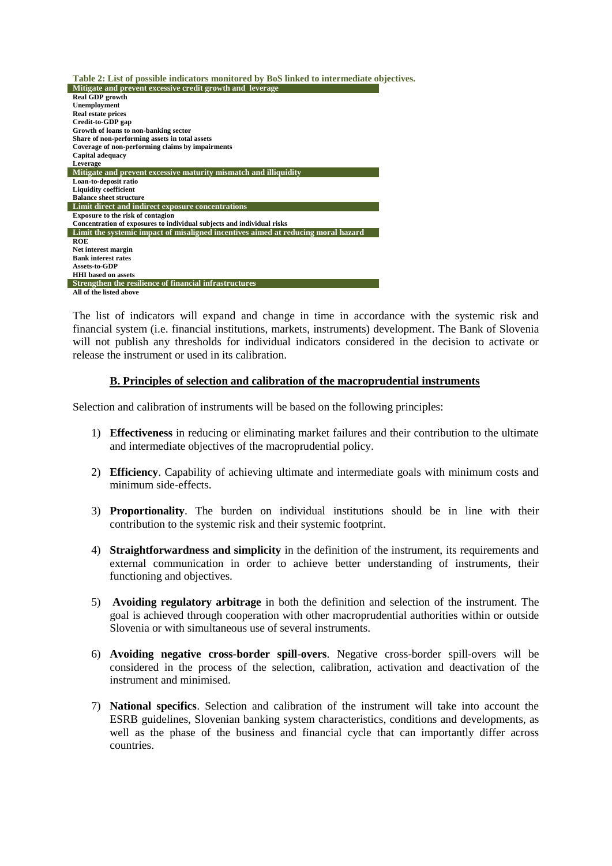| Table 2: List of possible indicators monitored by BoS linked to intermediate objectives. |
|------------------------------------------------------------------------------------------|
| Mitigate and prevent excessive credit growth and leverage                                |
| <b>Real GDP</b> growth                                                                   |
| <b>Unemployment</b>                                                                      |
| <b>Real estate prices</b>                                                                |
| Credit-to-GDP gap                                                                        |
| Growth of loans to non-banking sector                                                    |
| Share of non-performing assets in total assets                                           |
| Coverage of non-performing claims by impairments                                         |
| Capital adequacy                                                                         |
| Leverage                                                                                 |
| Mitigate and prevent excessive maturity mismatch and illiquidity                         |
| Loan-to-deposit ratio                                                                    |
| <b>Liquidity coefficient</b>                                                             |
| <b>Balance sheet structure</b>                                                           |
| Limit direct and indirect exposure concentrations                                        |
| <b>Exposure to the risk of contagion</b>                                                 |
| Concentration of exposures to individual subjects and individual risks                   |
| Limit the systemic impact of misaligned incentives aimed at reducing moral hazard        |
| <b>ROE</b>                                                                               |
| Net interest margin                                                                      |
| <b>Bank interest rates</b>                                                               |
| <b>Assets-to-GDP</b>                                                                     |
| <b>HHI</b> based on assets                                                               |
| Strengthen the resilience of financial infrastructures                                   |
| All of the listed above                                                                  |

The list of indicators will expand and change in time in accordance with the systemic risk and financial system (i.e. financial institutions, markets, instruments) development. The Bank of Slovenia will not publish any thresholds for individual indicators considered in the decision to activate or release the instrument or used in its calibration.

## **B. Principles of selection and calibration of the macroprudential instruments**

Selection and calibration of instruments will be based on the following principles:

- 1) **Effectiveness** in reducing or eliminating market failures and their contribution to the ultimate and intermediate objectives of the macroprudential policy.
- 2) **Efficiency**. Capability of achieving ultimate and intermediate goals with minimum costs and minimum side-effects.
- 3) **Proportionality**. The burden on individual institutions should be in line with their contribution to the systemic risk and their systemic footprint.
- 4) **Straightforwardness and simplicity** in the definition of the instrument, its requirements and external communication in order to achieve better understanding of instruments, their functioning and objectives.
- 5) **Avoiding regulatory arbitrage** in both the definition and selection of the instrument. The goal is achieved through cooperation with other macroprudential authorities within or outside Slovenia or with simultaneous use of several instruments.
- 6) **Avoiding negative cross-border spill-overs**. Negative cross-border spill-overs will be considered in the process of the selection, calibration, activation and deactivation of the instrument and minimised.
- 7) **National specifics**. Selection and calibration of the instrument will take into account the ESRB guidelines, Slovenian banking system characteristics, conditions and developments, as well as the phase of the business and financial cycle that can importantly differ across countries.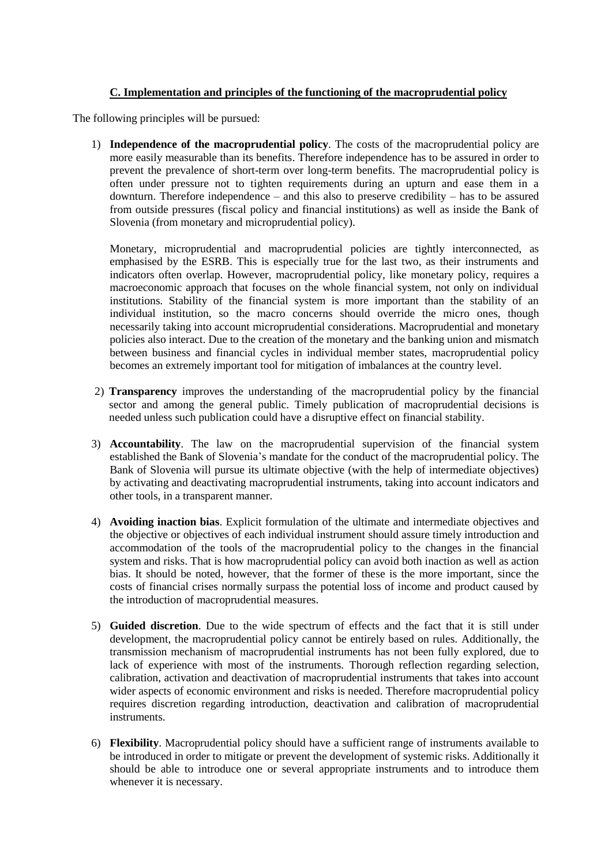# **C. Implementation and principles of the functioning of the macroprudential policy**

The following principles will be pursued:

1) **Independence of the macroprudential policy**. The costs of the macroprudential policy are more easily measurable than its benefits. Therefore independence has to be assured in order to prevent the prevalence of short-term over long-term benefits. The macroprudential policy is often under pressure not to tighten requirements during an upturn and ease them in a downturn. Therefore independence – and this also to preserve credibility – has to be assured from outside pressures (fiscal policy and financial institutions) as well as inside the Bank of Slovenia (from monetary and microprudential policy).

Monetary, microprudential and macroprudential policies are tightly interconnected, as emphasised by the ESRB. This is especially true for the last two, as their instruments and indicators often overlap. However, macroprudential policy, like monetary policy, requires a macroeconomic approach that focuses on the whole financial system, not only on individual institutions. Stability of the financial system is more important than the stability of an individual institution, so the macro concerns should override the micro ones, though necessarily taking into account microprudential considerations. Macroprudential and monetary policies also interact. Due to the creation of the monetary and the banking union and mismatch between business and financial cycles in individual member states, macroprudential policy becomes an extremely important tool for mitigation of imbalances at the country level.

- 2) **Transparency** improves the understanding of the macroprudential policy by the financial sector and among the general public. Timely publication of macroprudential decisions is needed unless such publication could have a disruptive effect on financial stability.
- 3) **Accountability**. The law on the macroprudential supervision of the financial system established the Bank of Slovenia's mandate for the conduct of the macroprudential policy. The Bank of Slovenia will pursue its ultimate objective (with the help of intermediate objectives) by activating and deactivating macroprudential instruments, taking into account indicators and other tools, in a transparent manner.
- 4) **Avoiding inaction bias**. Explicit formulation of the ultimate and intermediate objectives and the objective or objectives of each individual instrument should assure timely introduction and accommodation of the tools of the macroprudential policy to the changes in the financial system and risks. That is how macroprudential policy can avoid both inaction as well as action bias. It should be noted, however, that the former of these is the more important, since the costs of financial crises normally surpass the potential loss of income and product caused by the introduction of macroprudential measures.
- 5) **Guided discretion**. Due to the wide spectrum of effects and the fact that it is still under development, the macroprudential policy cannot be entirely based on rules. Additionally, the transmission mechanism of macroprudential instruments has not been fully explored, due to lack of experience with most of the instruments. Thorough reflection regarding selection, calibration, activation and deactivation of macroprudential instruments that takes into account wider aspects of economic environment and risks is needed. Therefore macroprudential policy requires discretion regarding introduction, deactivation and calibration of macroprudential instruments.
- 6) **Flexibility**. Macroprudential policy should have a sufficient range of instruments available to be introduced in order to mitigate or prevent the development of systemic risks. Additionally it should be able to introduce one or several appropriate instruments and to introduce them whenever it is necessary.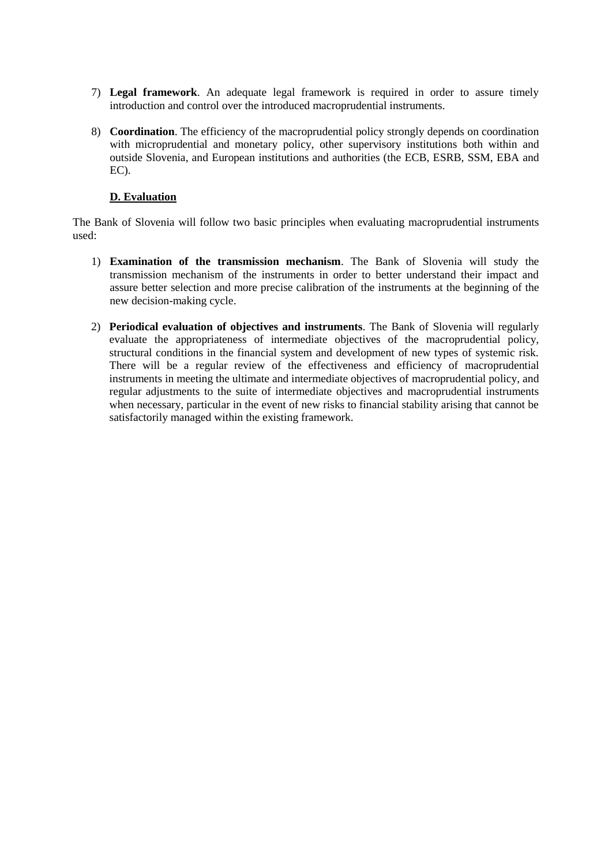- 7) **Legal framework**. An adequate legal framework is required in order to assure timely introduction and control over the introduced macroprudential instruments.
- 8) **Coordination**. The efficiency of the macroprudential policy strongly depends on coordination with microprudential and monetary policy, other supervisory institutions both within and outside Slovenia, and European institutions and authorities (the ECB, ESRB, SSM, EBA and EC).

## **D. Evaluation**

The Bank of Slovenia will follow two basic principles when evaluating macroprudential instruments used:

- 1) **Examination of the transmission mechanism**. The Bank of Slovenia will study the transmission mechanism of the instruments in order to better understand their impact and assure better selection and more precise calibration of the instruments at the beginning of the new decision-making cycle.
- 2) **Periodical evaluation of objectives and instruments**. The Bank of Slovenia will regularly evaluate the appropriateness of intermediate objectives of the macroprudential policy, structural conditions in the financial system and development of new types of systemic risk. There will be a regular review of the effectiveness and efficiency of macroprudential instruments in meeting the ultimate and intermediate objectives of macroprudential policy, and regular adjustments to the suite of intermediate objectives and macroprudential instruments when necessary, particular in the event of new risks to financial stability arising that cannot be satisfactorily managed within the existing framework.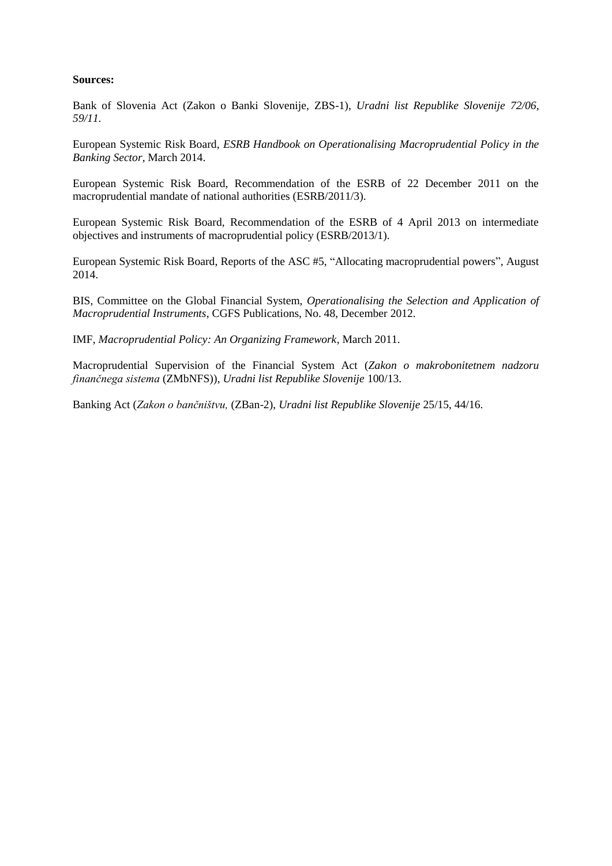#### **Sources:**

Bank of Slovenia Act (Zakon o Banki Slovenije, ZBS-1), *Uradni list Republike Slovenije 72/06, 59/11.*

European Systemic Risk Board, *ESRB Handbook on Operationalising Macroprudential Policy in the Banking Sector*, March 2014.

European Systemic Risk Board, Recommendation of the ESRB of 22 December 2011 on the macroprudential mandate of national authorities (ESRB/2011/3).

European Systemic Risk Board, Recommendation of the ESRB of 4 April 2013 on intermediate objectives and instruments of macroprudential policy (ESRB/2013/1).

European Systemic Risk Board, Reports of the ASC #5, "Allocating macroprudential powers", August 2014.

BIS, Committee on the Global Financial System, *Operationalising the Selection and Application of Macroprudential Instruments*, CGFS Publications, No. 48, December 2012.

IMF, *Macroprudential Policy: An Organizing Framework*, March 2011.

Macroprudential Supervision of the Financial System Act (*Zakon o makrobonitetnem nadzoru finančnega sistema* (ZMbNFS)), *Uradni list Republike Slovenije* 100/13.

Banking Act (*Zakon o bančništvu,* (ZBan-2), *Uradni list Republike Slovenije* 25/15, 44/16.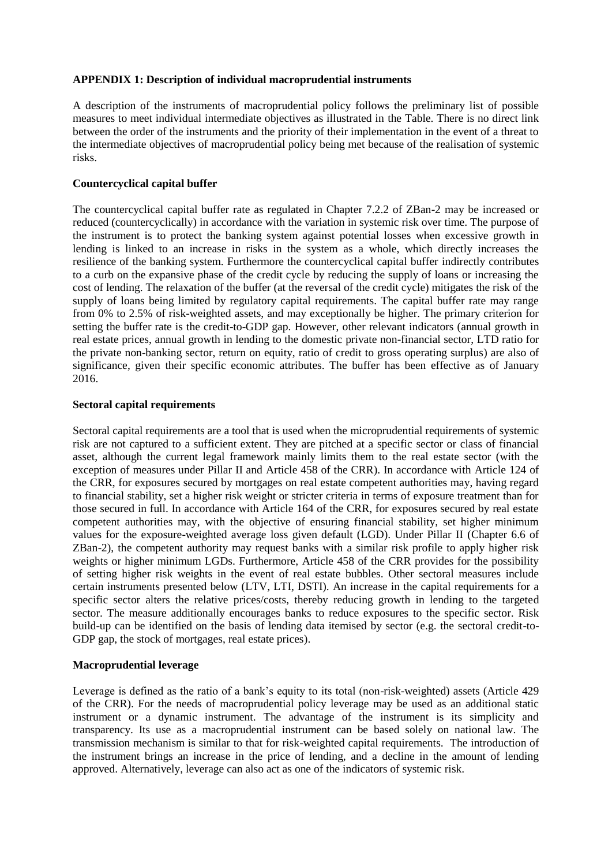### **APPENDIX 1: Description of individual macroprudential instruments**

A description of the instruments of macroprudential policy follows the preliminary list of possible measures to meet individual intermediate objectives as illustrated in the Table. There is no direct link between the order of the instruments and the priority of their implementation in the event of a threat to the intermediate objectives of macroprudential policy being met because of the realisation of systemic risks.

### **Countercyclical capital buffer**

The countercyclical capital buffer rate as regulated in Chapter 7.2.2 of ZBan-2 may be increased or reduced (countercyclically) in accordance with the variation in systemic risk over time. The purpose of the instrument is to protect the banking system against potential losses when excessive growth in lending is linked to an increase in risks in the system as a whole, which directly increases the resilience of the banking system. Furthermore the countercyclical capital buffer indirectly contributes to a curb on the expansive phase of the credit cycle by reducing the supply of loans or increasing the cost of lending. The relaxation of the buffer (at the reversal of the credit cycle) mitigates the risk of the supply of loans being limited by regulatory capital requirements. The capital buffer rate may range from 0% to 2.5% of risk-weighted assets, and may exceptionally be higher. The primary criterion for setting the buffer rate is the credit-to-GDP gap. However, other relevant indicators (annual growth in real estate prices, annual growth in lending to the domestic private non-financial sector, LTD ratio for the private non-banking sector, return on equity, ratio of credit to gross operating surplus) are also of significance, given their specific economic attributes. The buffer has been effective as of January 2016.

## **Sectoral capital requirements**

Sectoral capital requirements are a tool that is used when the microprudential requirements of systemic risk are not captured to a sufficient extent. They are pitched at a specific sector or class of financial asset, although the current legal framework mainly limits them to the real estate sector (with the exception of measures under Pillar II and Article 458 of the CRR). In accordance with Article 124 of the CRR, for exposures secured by mortgages on real estate competent authorities may, having regard to financial stability, set a higher risk weight or stricter criteria in terms of exposure treatment than for those secured in full. In accordance with Article 164 of the CRR, for exposures secured by real estate competent authorities may, with the objective of ensuring financial stability, set higher minimum values for the exposure-weighted average loss given default (LGD). Under Pillar II (Chapter 6.6 of ZBan-2), the competent authority may request banks with a similar risk profile to apply higher risk weights or higher minimum LGDs. Furthermore, Article 458 of the CRR provides for the possibility of setting higher risk weights in the event of real estate bubbles. Other sectoral measures include certain instruments presented below (LTV, LTI, DSTI). An increase in the capital requirements for a specific sector alters the relative prices/costs, thereby reducing growth in lending to the targeted sector. The measure additionally encourages banks to reduce exposures to the specific sector. Risk build-up can be identified on the basis of lending data itemised by sector (e.g. the sectoral credit-to-GDP gap, the stock of mortgages, real estate prices).

### **Macroprudential leverage**

Leverage is defined as the ratio of a bank's equity to its total (non-risk-weighted) assets (Article 429 of the CRR). For the needs of macroprudential policy leverage may be used as an additional static instrument or a dynamic instrument. The advantage of the instrument is its simplicity and transparency. Its use as a macroprudential instrument can be based solely on national law. The transmission mechanism is similar to that for risk-weighted capital requirements. The introduction of the instrument brings an increase in the price of lending, and a decline in the amount of lending approved. Alternatively, leverage can also act as one of the indicators of systemic risk.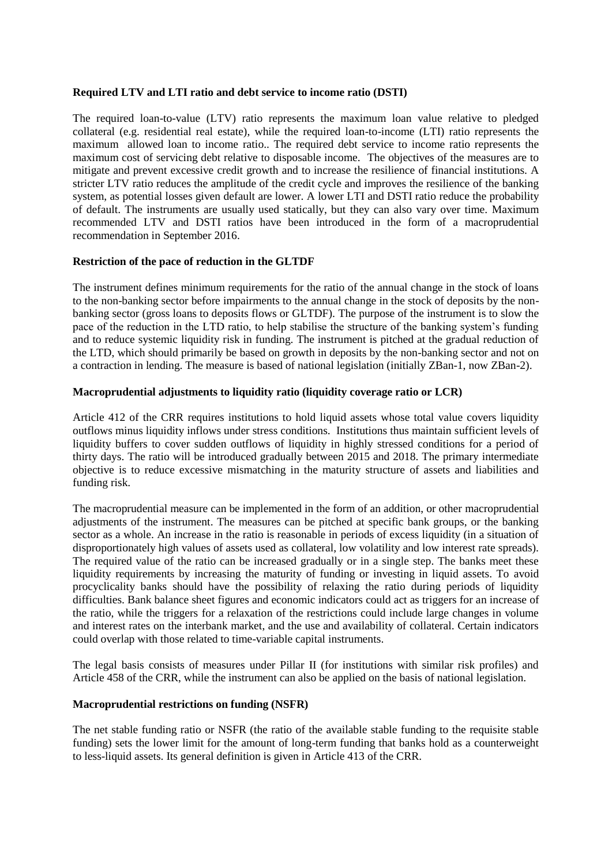#### **Required LTV and LTI ratio and debt service to income ratio (DSTI)**

The required loan-to-value (LTV) ratio represents the maximum loan value relative to pledged collateral (e.g. residential real estate), while the required loan-to-income (LTI) ratio represents the maximum allowed loan to income ratio.. The required debt service to income ratio represents the maximum cost of servicing debt relative to disposable income. The objectives of the measures are to mitigate and prevent excessive credit growth and to increase the resilience of financial institutions. A stricter LTV ratio reduces the amplitude of the credit cycle and improves the resilience of the banking system, as potential losses given default are lower. A lower LTI and DSTI ratio reduce the probability of default. The instruments are usually used statically, but they can also vary over time. Maximum recommended LTV and DSTI ratios have been introduced in the form of a macroprudential recommendation in September 2016.

#### **Restriction of the pace of reduction in the GLTDF**

The instrument defines minimum requirements for the ratio of the annual change in the stock of loans to the non-banking sector before impairments to the annual change in the stock of deposits by the nonbanking sector (gross loans to deposits flows or GLTDF). The purpose of the instrument is to slow the pace of the reduction in the LTD ratio, to help stabilise the structure of the banking system's funding and to reduce systemic liquidity risk in funding. The instrument is pitched at the gradual reduction of the LTD, which should primarily be based on growth in deposits by the non-banking sector and not on a contraction in lending. The measure is based of national legislation (initially ZBan-1, now ZBan-2).

#### **Macroprudential adjustments to liquidity ratio (liquidity coverage ratio or LCR)**

Article 412 of the CRR requires institutions to hold liquid assets whose total value covers liquidity outflows minus liquidity inflows under stress conditions. Institutions thus maintain sufficient levels of liquidity buffers to cover sudden outflows of liquidity in highly stressed conditions for a period of thirty days. The ratio will be introduced gradually between 2015 and 2018. The primary intermediate objective is to reduce excessive mismatching in the maturity structure of assets and liabilities and funding risk.

The macroprudential measure can be implemented in the form of an addition, or other macroprudential adjustments of the instrument. The measures can be pitched at specific bank groups, or the banking sector as a whole. An increase in the ratio is reasonable in periods of excess liquidity (in a situation of disproportionately high values of assets used as collateral, low volatility and low interest rate spreads). The required value of the ratio can be increased gradually or in a single step. The banks meet these liquidity requirements by increasing the maturity of funding or investing in liquid assets. To avoid procyclicality banks should have the possibility of relaxing the ratio during periods of liquidity difficulties. Bank balance sheet figures and economic indicators could act as triggers for an increase of the ratio, while the triggers for a relaxation of the restrictions could include large changes in volume and interest rates on the interbank market, and the use and availability of collateral. Certain indicators could overlap with those related to time-variable capital instruments.

The legal basis consists of measures under Pillar II (for institutions with similar risk profiles) and Article 458 of the CRR, while the instrument can also be applied on the basis of national legislation.

#### **Macroprudential restrictions on funding (NSFR)**

The net stable funding ratio or NSFR (the ratio of the available stable funding to the requisite stable funding) sets the lower limit for the amount of long-term funding that banks hold as a counterweight to less-liquid assets. Its general definition is given in Article 413 of the CRR.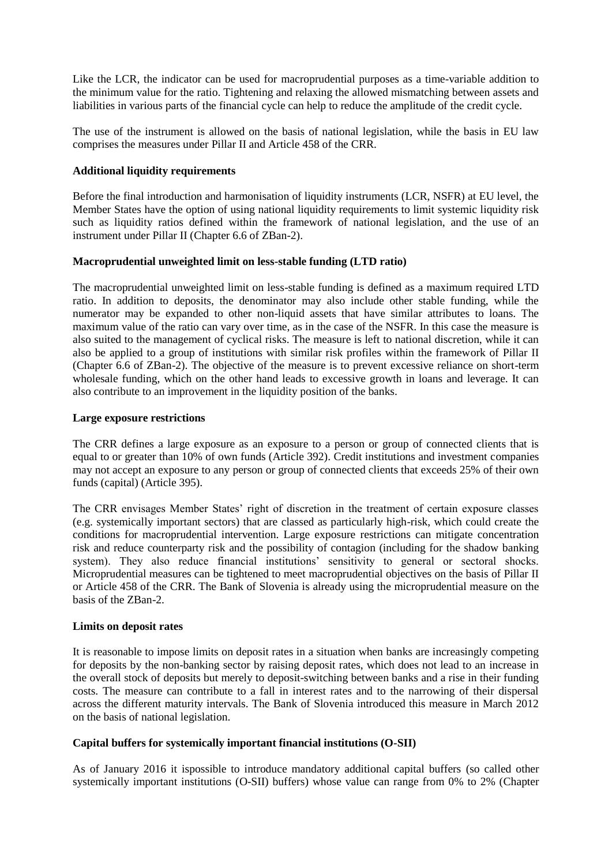Like the LCR, the indicator can be used for macroprudential purposes as a time-variable addition to the minimum value for the ratio. Tightening and relaxing the allowed mismatching between assets and liabilities in various parts of the financial cycle can help to reduce the amplitude of the credit cycle.

The use of the instrument is allowed on the basis of national legislation, while the basis in EU law comprises the measures under Pillar II and Article 458 of the CRR.

### **Additional liquidity requirements**

Before the final introduction and harmonisation of liquidity instruments (LCR, NSFR) at EU level, the Member States have the option of using national liquidity requirements to limit systemic liquidity risk such as liquidity ratios defined within the framework of national legislation, and the use of an instrument under Pillar II (Chapter 6.6 of ZBan-2).

### **Macroprudential unweighted limit on less-stable funding (LTD ratio)**

The macroprudential unweighted limit on less-stable funding is defined as a maximum required LTD ratio. In addition to deposits, the denominator may also include other stable funding, while the numerator may be expanded to other non-liquid assets that have similar attributes to loans. The maximum value of the ratio can vary over time, as in the case of the NSFR. In this case the measure is also suited to the management of cyclical risks. The measure is left to national discretion, while it can also be applied to a group of institutions with similar risk profiles within the framework of Pillar II (Chapter 6.6 of ZBan-2). The objective of the measure is to prevent excessive reliance on short-term wholesale funding, which on the other hand leads to excessive growth in loans and leverage. It can also contribute to an improvement in the liquidity position of the banks.

## **Large exposure restrictions**

The CRR defines a large exposure as an exposure to a person or group of connected clients that is equal to or greater than 10% of own funds (Article 392). Credit institutions and investment companies may not accept an exposure to any person or group of connected clients that exceeds 25% of their own funds (capital) (Article 395).

The CRR envisages Member States' right of discretion in the treatment of certain exposure classes (e.g. systemically important sectors) that are classed as particularly high-risk, which could create the conditions for macroprudential intervention. Large exposure restrictions can mitigate concentration risk and reduce counterparty risk and the possibility of contagion (including for the shadow banking system). They also reduce financial institutions' sensitivity to general or sectoral shocks. Microprudential measures can be tightened to meet macroprudential objectives on the basis of Pillar II or Article 458 of the CRR. The Bank of Slovenia is already using the microprudential measure on the basis of the ZBan-2.

### **Limits on deposit rates**

It is reasonable to impose limits on deposit rates in a situation when banks are increasingly competing for deposits by the non-banking sector by raising deposit rates, which does not lead to an increase in the overall stock of deposits but merely to deposit-switching between banks and a rise in their funding costs. The measure can contribute to a fall in interest rates and to the narrowing of their dispersal across the different maturity intervals. The Bank of Slovenia introduced this measure in March 2012 on the basis of national legislation.

# **Capital buffers for systemically important financial institutions (O-SII)**

As of January 2016 it ispossible to introduce mandatory additional capital buffers (so called other systemically important institutions (O-SII) buffers) whose value can range from 0% to 2% (Chapter